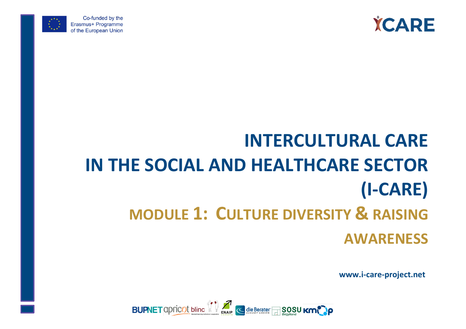



Co-funded by the Erasmus+ Programme of the European Union

# **INTERCULTURAL CARE IN THE SOCIAL AND HEALTHCARE SECTOR (I-CARE) MODULE 1: CULTURE DIVERSITY & RAISING AWARENESS**

**www.i-care-project.net**

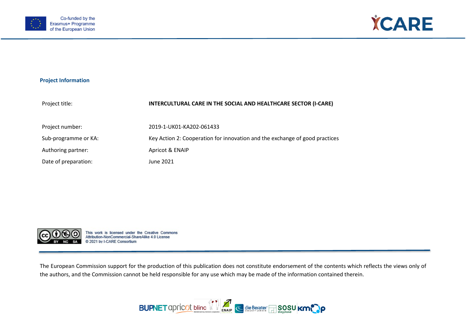



## **Project Information**

| Project title:       | INTERCULTURAL CARE IN THE SOCIAL AND HEALTHCARE SECTOR (I-CARE)             |
|----------------------|-----------------------------------------------------------------------------|
| Project number:      | 2019-1-UK01-KA202-061433                                                    |
| Sub-programme or KA: | Key Action 2: Cooperation for innovation and the exchange of good practices |
| Authoring partner:   | Apricot & ENAIP                                                             |
| Date of preparation: | June 2021                                                                   |



This work is licensed under the Creative Commons Attribution-NonCommercial-ShareAlike 4.0 License @ 2021 by I-CARE Consortium

The European Commission support for the production of this publication does not constitute endorsement of the contents which reflects the views only of the authors, and the Commission cannot be held responsible for any use which may be made of the information contained therein.

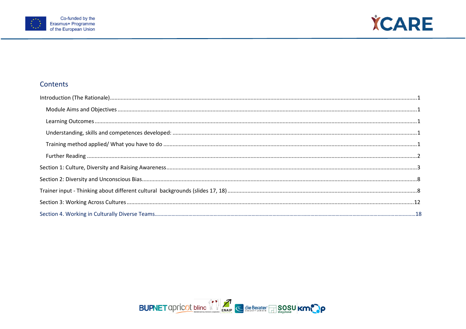



# Contents

| $\textbf{Learning Outcomes} \textit{} \textit{} \textit{} \textit{} \textit{} \textit{} \textit{} \textit{} \textit{} \textit{} \textit{} \textit{} \textit{} \textit{} \textit{} \textit{} \textit{} \textit{} \textit{} \textit{} \textit{} \textit{} \textit{} \textit{} \textit{} \textit{} \textit{} \textit{} \textit{} \textit{} \textit{} \textit{} \textit{} \textit{} \textit{} \text$ |
|--------------------------------------------------------------------------------------------------------------------------------------------------------------------------------------------------------------------------------------------------------------------------------------------------------------------------------------------------------------------------------------------------|
|                                                                                                                                                                                                                                                                                                                                                                                                  |
|                                                                                                                                                                                                                                                                                                                                                                                                  |
|                                                                                                                                                                                                                                                                                                                                                                                                  |
|                                                                                                                                                                                                                                                                                                                                                                                                  |
|                                                                                                                                                                                                                                                                                                                                                                                                  |
|                                                                                                                                                                                                                                                                                                                                                                                                  |
|                                                                                                                                                                                                                                                                                                                                                                                                  |
|                                                                                                                                                                                                                                                                                                                                                                                                  |

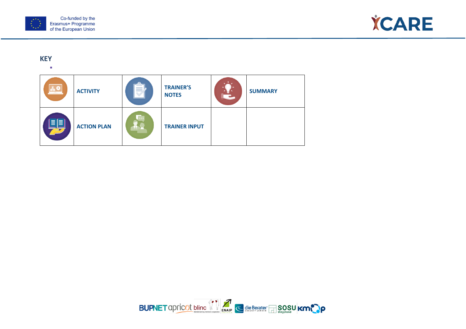



# **KEY**

 $\mathbf{r}$ 



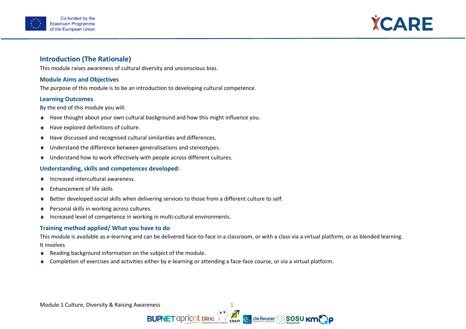



# <span id="page-4-0"></span>**Introduction (The Rationale)**

This module raises awareness of cultural diversity and unconscious bias.

## <span id="page-4-1"></span>**Module Aims and Objectives**

The purpose of this module is to be an introduction to developing cultural competence.

## <span id="page-4-2"></span>**Learning Outcomes**

By the end of this module you will:

- ♦ Have thought about your own cultural background and how this might influence you.
- Have explored definitions of culture.
- Have discussed and recognised cultural similarities and differences.
- ♦ Understand the difference between generalisations and stereotypes.
- ♦ Understand how to work effectively with people across different cultures.

## <span id="page-4-3"></span>**Understanding, skills and competences developed:**

- ♦ Increased intercultural awareness.
- Enhancement of life skills
- Better developed social skills when delivering services to those from a different culture to self.
- Personal skills in working across cultures.
- ♦ Increased level of competence in working in multi-cultural environments.

## <span id="page-4-4"></span>**Training method applied/ What you have to do**

This module is available as e-learning and can be delivered face-to-face in a classroom, or with a class via a virtual platform, or as blended learning. It involves

- ♦ Reading background information on the subject of the module.
- Completion of exercises and activities either by e-learning or attending a face-face course, or via a virtual platform.

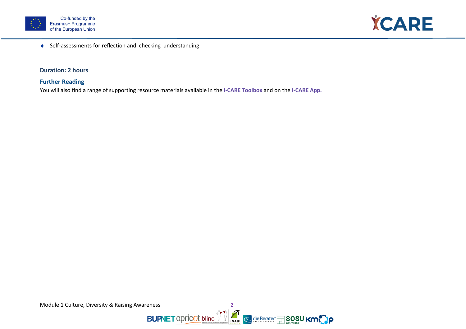



♦ Self-assessments for reflection and checking understanding

## **Duration: 2 hours**

# <span id="page-5-0"></span>**Further Reading**

You will also find a range of supporting resource materials available in the **I-CARE Toolbox** and on the **I-CARE App.**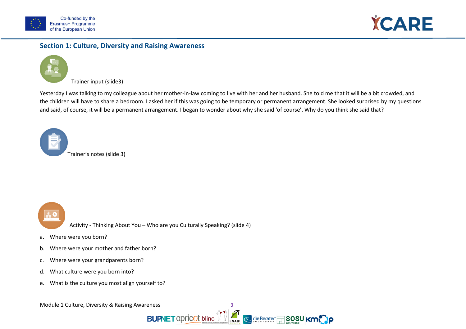



# <span id="page-6-0"></span>**Section 1: Culture, Diversity and Raising Awareness**



Trainer input (slide3)

Yesterday I was talking to my colleague about her mother-in-law coming to live with her and her husband. She told me that it will be a bit crowded, and the children will have to share a bedroom. I asked her if this was going to be temporary or permanent arrangement. She looked surprised by my questions and said, of course, it will be a permanent arrangement. I began to wonder about why she said 'of course'. Why do you think she said that?

Trainer's notes (slide 3)



Activity - Thinking About You – Who are you Culturally Speaking? (slide 4)

- a. Where were you born?
- b. Where were your mother and father born?
- c. Where were your grandparents born?
- d. What culture were you born into?
- e. What is the culture you most align yourself to?



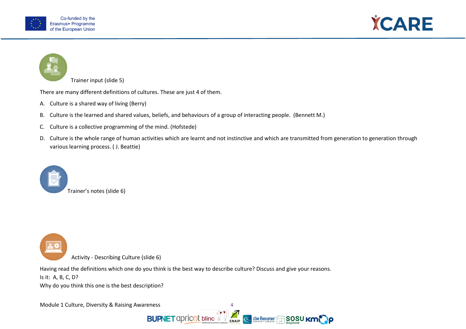





Trainer input (slide 5)

There are many different definitions of cultures. These are just 4 of them.

- A. Culture is a shared way of living (Berry)
- B. Culture is the learned and shared values, beliefs, and behaviours of a group of interacting people. (Bennett M.)
- C. Culture is a collective programming of the mind. (Hofstede)
- D. Culture is the whole range of human activities which are learnt and not instinctive and which are transmitted from generation to generation through various learning process. ( J. Beattie)





Activity - Describing Culture (slide 6)

Having read the definitions which one do you think is the best way to describe culture? Discuss and give your reasons.

Is it: A, B, C, D?

Why do you think this one is the best description?

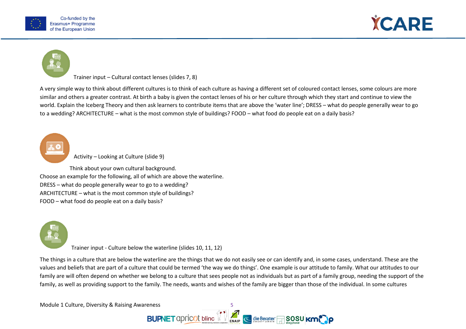





Trainer input – Cultural contact lenses (slides 7, 8)

A very simple way to think about different cultures is to think of each culture as having a different set of coloured contact lenses, some colours are more similar and others a greater contrast. At birth a baby is given the contact lenses of his or her culture through which they start and continue to view the world. Explain the Iceberg Theory and then ask learners to contribute items that are above the 'water line'; DRESS – what do people generally wear to go to a wedding? ARCHITECTURE – what is the most common style of buildings? FOOD – what food do people eat on a daily basis?

Activity – Looking at Culture (slide 9)

Think about your own cultural background. Choose an example for the following, all of which are above the waterline. DRESS – what do people generally wear to go to a wedding? ARCHITECTURE – what is the most common style of buildings? FOOD – what food do people eat on a daily basis?



Trainer input - Culture below the waterline (slides 10, 11, 12)

The things in a culture that are below the waterline are the things that we do not easily see or can identify and, in some cases, understand. These are the values and beliefs that are part of a culture that could be termed 'the way we do things'. One example is our attitude to family. What our attitudes to our family are will often depend on whether we belong to a culture that sees people not as individuals but as part of a family group, needing the support of the family, as well as providing support to the family. The needs, wants and wishes of the family are bigger than those of the individual. In some cultures

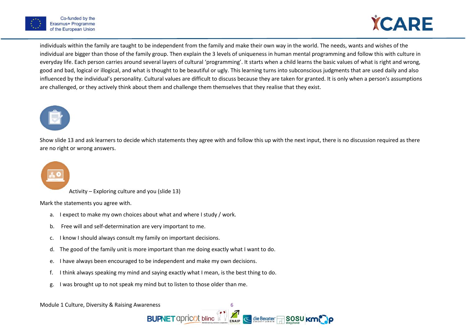

individuals within the family are taught to be independent from the family and make their own way in the world. The needs, wants and wishes of the individual are bigger than those of the family group. Then explain the 3 levels of uniqueness in human mental programming and follow this with culture in everyday life. Each person carries around several layers of cultural 'programming'. It starts when a child learns the basic values of what is right and wrong, good and bad, logical or illogical, and what is thought to be beautiful or ugly. This learning turns into subconscious judgments that are used daily and also influenced by the individual's personality. Cultural values are difficult to discuss because they are taken for granted. It is only when a person's assumptions are challenged, or they actively think about them and challenge them themselves that they realise that they exist.



Show slide 13 and ask learners to decide which statements they agree with and follow this up with the next input, there is no discussion required as there are no right or wrong answers.



Activity – Exploring culture and you (slide 13)

Mark the statements you agree with.

- a. I expect to make my own choices about what and where I study / work.
- b. Free will and self-determination are very important to me.
- c. I know I should always consult my family on important decisions.
- d. The good of the family unit is more important than me doing exactly what I want to do.
- e. I have always been encouraged to be independent and make my own decisions.
- f. I think always speaking my mind and saying exactly what I mean, is the best thing to do.
- g. I was brought up to not speak my mind but to listen to those older than me.

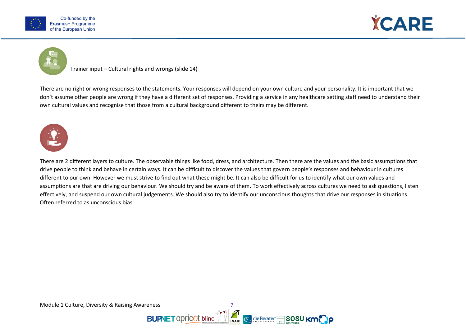





Trainer input – Cultural rights and wrongs (slide 14)

There are no right or wrong responses to the statements. Your responses will depend on your own culture and your personality. It is important that we don't assume other people are wrong if they have a different set of responses. Providing a service in any healthcare setting staff need to understand their own cultural values and recognise that those from a cultural background different to theirs may be different.



There are 2 different layers to culture. The observable things like food, dress, and architecture. Then there are the values and the basic assumptions that drive people to think and behave in certain ways. It can be difficult to discover the values that govern people's responses and behaviour in cultures different to our own. However we must strive to find out what these might be. It can also be difficult for us to identify what our own values and assumptions are that are driving our behaviour. We should try and be aware of them. To work effectively across cultures we need to ask questions, listen effectively, and suspend our own cultural judgements. We should also try to identify our unconscious thoughts that drive our responses in situations. Often referred to as unconscious bias.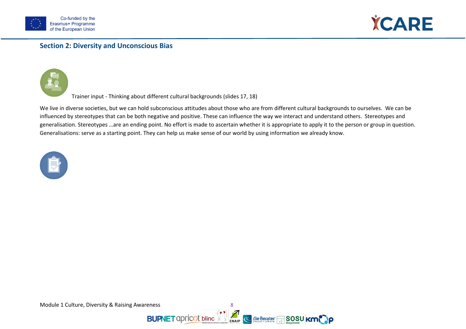



# <span id="page-11-0"></span>**Section 2: Diversity and Unconscious Bias**



<span id="page-11-1"></span>Trainer input - Thinking about different cultural backgrounds (slides 17, 18)

We live in diverse societies, but we can hold subconscious attitudes about those who are from different cultural backgrounds to ourselves. We can be influenced by stereotypes that can be both negative and positive. These can influence the way we interact and understand others. Stereotypes and generalisation. Stereotypes …are an ending point. No effort is made to ascertain whether it is appropriate to apply it to the person or group in question. Generalisations: serve as a starting point. They can help us make sense of our world by using information we already know.



Module 1 Culture, Diversity & Raising Awareness and Module 1 Culture, Diversity & Raising Awareness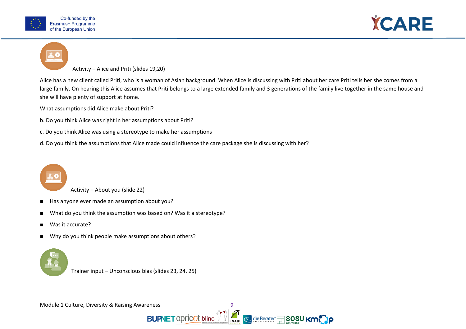



Activity – Alice and Priti (slides 19,20)

Alice has a new client called Priti, who is a woman of Asian background. When Alice is discussing with Priti about her care Priti tells her she comes from a large family. On hearing this Alice assumes that Priti belongs to a large extended family and 3 generations of the family live together in the same house and she will have plenty of support at home.

What assumptions did Alice make about Priti?

- b. Do you think Alice was right in her assumptions about Priti?
- c. Do you think Alice was using a stereotype to make her assumptions
- d. Do you think the assumptions that Alice made could influence the care package she is discussing with her?



Activity – About you (slide 22)

- Has anyone ever made an assumption about you?
- What do you think the assumption was based on? Was it a stereotype?
- Was it accurate?
- Why do you think people make assumptions about others?



Trainer input – Unconscious bias (slides 23, 24. 25)

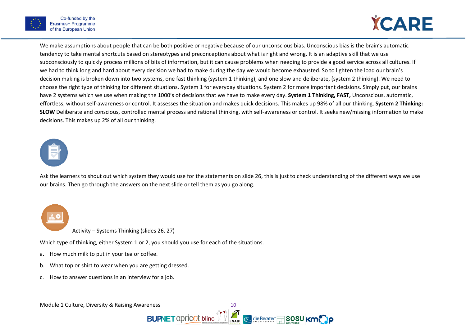



We make assumptions about people that can be both positive or negative because of our unconscious bias. Unconscious bias is the brain's automatic tendency to take mental shortcuts based on stereotypes and preconceptions about what is right and wrong. It is an adaptive skill that we use subconsciously to quickly process millions of bits of information, but it can cause problems when needing to provide a good service across all cultures. If we had to think long and hard about every decision we had to make during the day we would become exhausted. So to lighten the load our brain's decision making is broken down into two systems, one fast thinking (system 1 thinking), and one slow and deliberate, (system 2 thinking). We need to choose the right type of thinking for different situations. System 1 for everyday situations. System 2 for more important decisions. Simply put, our brains have 2 systems which we use when making the 1000's of decisions that we have to make every day. **System 1 Thinking, FAST,** Unconscious, automatic, effortless, without self-awareness or control. It assesses the situation and makes quick decisions. This makes up 98% of all our thinking. **System 2 Thinking: SLOW** Deliberate and conscious, controlled mental process and rational thinking, with self-awareness or control. It seeks new/missing information to make decisions. This makes up 2% of all our thinking.



Ask the learners to shout out which system they would use for the statements on slide 26, this is just to check understanding of the different ways we use our brains. Then go through the answers on the next slide or tell them as you go along.



Activity – Systems Thinking (slides 26. 27)

Which type of thinking, either System 1 or 2, you should you use for each of the situations.

- a. How much milk to put in your tea or coffee.
- b. What top or shirt to wear when you are getting dressed.
- c. How to answer questions in an interview for a job.



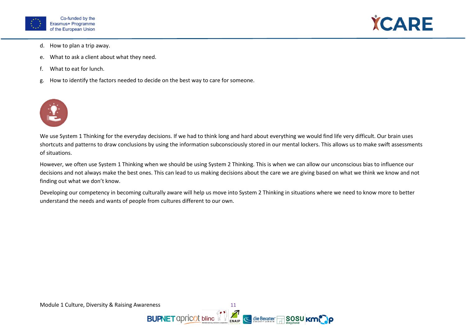



- d. How to plan a trip away.
- e. What to ask a client about what they need.
- f. What to eat for lunch.
- g. How to identify the factors needed to decide on the best way to care for someone.



We use System 1 Thinking for the everyday decisions. If we had to think long and hard about everything we would find life very difficult. Our brain uses shortcuts and patterns to draw conclusions by using the information subconsciously stored in our mental lockers. This allows us to make swift assessments of situations.

However, we often use System 1 Thinking when we should be using System 2 Thinking. This is when we can allow our unconscious bias to influence our decisions and not always make the best ones. This can lead to us making decisions about the care we are giving based on what we think we know and not finding out what we don't know.

Developing our competency in becoming culturally aware will help us move into System 2 Thinking in situations where we need to know more to better understand the needs and wants of people from cultures different to our own.

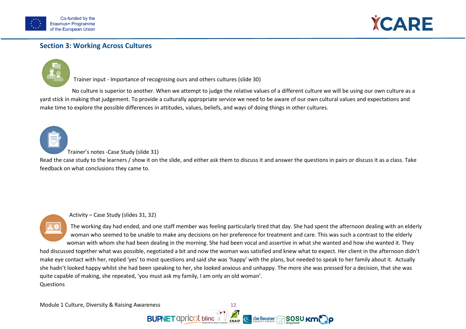



# <span id="page-15-0"></span>**Section 3: Working Across Cultures**



Trainer input - Importance of recognising ours and others cultures (slide 30)

No culture is superior to another. When we attempt to judge the relative values of a different culture we will be using our own culture as a yard stick in making that judgement. To provide a culturally appropriate service we need to be aware of our own cultural values and expectations and make time to explore the possible differences in attitudes, values, beliefs, and ways of doing things in other cultures.



#### Trainer's notes -Case Study (slide 31)

Read the case study to the learners / show it on the slide, and either ask them to discuss it and answer the questions in pairs or discuss it as a class. Take feedback on what conclusions they came to.

#### Activity – Case Study (slides 31, 32)

The working day had ended, and one staff member was feeling particularly tired that day. She had spent the afternoon dealing with an elderly woman who seemed to be unable to make any decisions on her preference for treatment and care. This was such a contrast to the elderly woman with whom she had been dealing in the morning. She had been vocal and assertive in what she wanted and how she wanted it. They

had discussed together what was possible, negotiated a bit and now the woman was satisfied and knew what to expect. Her client in the afternoon didn't make eye contact with her, replied 'yes' to most questions and said she was 'happy' with the plans, but needed to speak to her family about it. Actually she hadn't looked happy whilst she had been speaking to her, she looked anxious and unhappy. The more she was pressed for a decision, that she was quite capable of making, she repeated, 'you must ask my family, I am only an old woman'. **Questions** 

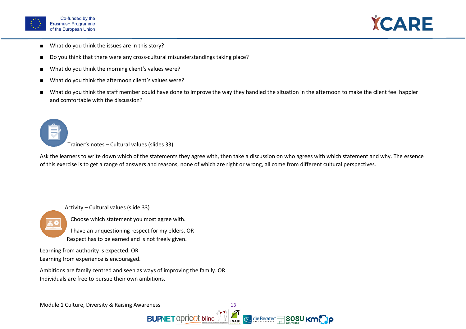



- What do you think the issues are in this story?
- Do you think that there were any cross-cultural misunderstandings taking place?
- What do you think the morning client's values were?
- What do you think the afternoon client's values were?
- What do you think the staff member could have done to improve the way they handled the situation in the afternoon to make the client feel happier and comfortable with the discussion?

Trainer's notes – Cultural values (slides 33)

Ask the learners to write down which of the statements they agree with, then take a discussion on who agrees with which statement and why. The essence of this exercise is to get a range of answers and reasons, none of which are right or wrong, all come from different cultural perspectives.

Activity – Cultural values (slide 33)



Choose which statement you most agree with.

I have an unquestioning respect for my elders. OR Respect has to be earned and is not freely given.

Learning from authority is expected. OR Learning from experience is encouraged.

Ambitions are family centred and seen as ways of improving the family. OR Individuals are free to pursue their own ambitions.

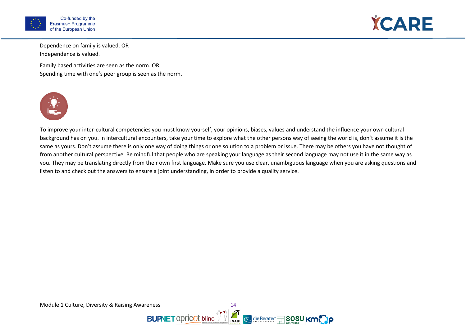



Dependence on family is valued. OR Independence is valued.

Family based activities are seen as the norm. OR Spending time with one's peer group is seen as the norm.



To improve your inter-cultural competencies you must know yourself, your opinions, biases, values and understand the influence your own cultural background has on you. In intercultural encounters, take your time to explore what the other persons way of seeing the world is, don't assume it is the same as yours. Don't assume there is only one way of doing things or one solution to a problem or issue. There may be others you have not thought of from another cultural perspective. Be mindful that people who are speaking your language as their second language may not use it in the same way as you. They may be translating directly from their own first language. Make sure you use clear, unambiguous language when you are asking questions and listen to and check out the answers to ensure a joint understanding, in order to provide a quality service.

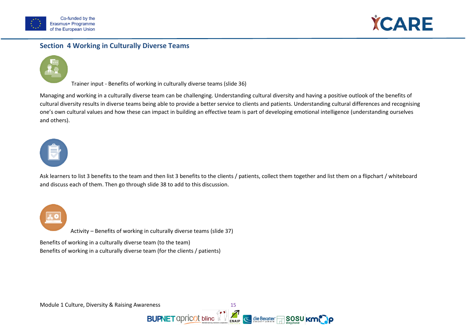



# **Section 4 Working in Culturally Diverse Teams**



Trainer input - Benefits of working in culturally diverse teams (slide 36)

Managing and working in a culturally diverse team can be challenging. Understanding cultural diversity and having a positive outlook of the benefits of cultural diversity results in diverse teams being able to provide a better service to clients and patients. Understanding cultural differences and recognising one's own cultural values and how these can impact in building an effective team is part of developing emotional intelligence (understanding ourselves and others).



Ask learners to list 3 benefits to the team and then list 3 benefits to the clients / patients, collect them together and list them on a flipchart / whiteboard and discuss each of them. Then go through slide 38 to add to this discussion.

Activity – Benefits of working in culturally diverse teams (slide 37)

Benefits of working in a culturally diverse team (to the team) Benefits of working in a culturally diverse team (for the clients / patients)



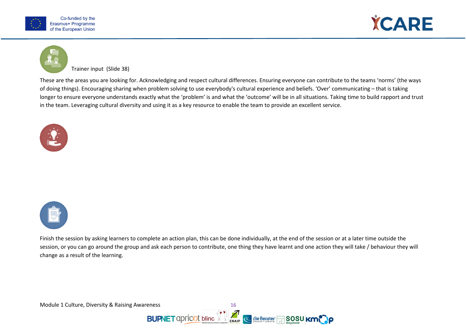





Trainer input (Slide 38)

These are the areas you are looking for. Acknowledging and respect cultural differences. Ensuring everyone can contribute to the teams 'norms' (the ways of doing things). Encouraging sharing when problem solving to use everybody's cultural experience and beliefs. 'Over' communicating – that is taking longer to ensure everyone understands exactly what the 'problem' is and what the 'outcome' will be in all situations. Taking time to build rapport and trust in the team. Leveraging cultural diversity and using it as a key resource to enable the team to provide an excellent service.





Finish the session by asking learners to complete an action plan, this can be done individually, at the end of the session or at a later time outside the session, or you can go around the group and ask each person to contribute, one thing they have learnt and one action they will take / behaviour they will change as a result of the learning.